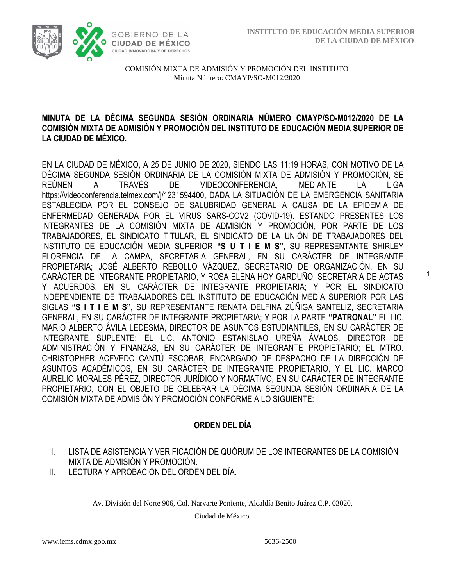1



COMISIÓN MIXTA DE ADMISIÓN Y PROMOCIÓN DEL INSTITUTO Minuta Número: CMAYP/SO-M012/2020

#### **MINUTA DE LA DÉCIMA SEGUNDA SESIÓN ORDINARIA NÚMERO CMAYP/SO-M012/2020 DE LA COMISIÓN MIXTA DE ADMISIÓN Y PROMOCIÓN DEL INSTITUTO DE EDUCACIÓN MEDIA SUPERIOR DE LA CIUDAD DE MÉXICO.**

EN LA CIUDAD DE MÉXICO, A 25 DE JUNIO DE 2020, SIENDO LAS 11:19 HORAS, CON MOTIVO DE LA DÉCIMA SEGUNDA SESIÓN ORDINARIA DE LA COMISIÓN MIXTA DE ADMISIÓN Y PROMOCIÓN, SE REÚNEN A TRAVÉS DE VIDEOCONFERENCIA, MEDIANTE LA LIGA [https://videoconferencia.telmex.com/j/1231594400,](https://videoconferencia.telmex.com/j/1231594400) DADA LA SITUACIÓN DE LA EMERGENCIA SANITARIA ESTABLECIDA POR EL CONSEJO DE SALUBRIDAD GENERAL A CAUSA DE LA EPIDEMIA DE ENFERMEDAD GENERADA POR EL VIRUS SARS-COV2 (COVID-19). ESTANDO PRESENTES LOS INTEGRANTES DE LA COMISIÓN MIXTA DE ADMISIÓN Y PROMOCIÓN, POR PARTE DE LOS TRABAJADORES, EL SINDICATO TITULAR, EL SINDICATO DE LA UNIÓN DE TRABAJADORES DEL INSTITUTO DE EDUCACIÓN MEDIA SUPERIOR **"S U T I E M S",** SU REPRESENTANTE SHIRLEY FLORENCIA DE LA CAMPA, SECRETARIA GENERAL, EN SU CARÁCTER DE INTEGRANTE PROPIETARIA; JOSÉ ALBERTO REBOLLO VÁZQUEZ, SECRETARIO DE ORGANIZACIÓN, EN SU CARÁCTER DE INTEGRANTE PROPIETARIO, Y ROSA ELENA HOY GARDUÑO, SECRETARIA DE ACTAS Y ACUERDOS, EN SU CARÁCTER DE INTEGRANTE PROPIETARIA; Y POR EL SINDICATO INDEPENDIENTE DE TRABAJADORES DEL INSTITUTO DE EDUCACIÓN MEDIA SUPERIOR POR LAS SIGLAS **"S I T I E M S",** SU REPRESENTANTE RENATA DELFINA ZÚÑIGA SANTELIZ, SECRETARIA GENERAL, EN SU CARÁCTER DE INTEGRANTE PROPIETARIA; Y POR LA PARTE **"PATRONAL"** EL LIC. MARIO ALBERTO ÁVILA LEDESMA, DIRECTOR DE ASUNTOS ESTUDIANTILES, EN SU CARÁCTER DE INTEGRANTE SUPLENTE; EL LIC. ANTONIO ESTANISLAO UREÑA ÁVALOS, DIRECTOR DE ADMINISTRACIÓN Y FINANZAS, EN SU CARÁCTER DE INTEGRANTE PROPIETARIO; EL MTRO. CHRISTOPHER ACEVEDO CANTÚ ESCOBAR, ENCARGADO DE DESPACHO DE LA DIRECCIÓN DE ASUNTOS ACADÉMICOS, EN SU CARÁCTER DE INTEGRANTE PROPIETARIO, Y EL LIC. MARCO AURELIO MORALES PÉREZ, DIRECTOR JURÍDICO Y NORMATIVO, EN SU CARÁCTER DE INTEGRANTE PROPIETARIO, CON EL OBJETO DE CELEBRAR LA DÉCIMA SEGUNDA SESIÓN ORDINARIA DE LA COMISIÓN MIXTA DE ADMISIÓN Y PROMOCIÓN CONFORME A LO SIGUIENTE:

# **ORDEN DEL DÍA**

- I. LISTA DE ASISTENCIA Y VERIFICACIÓN DE QUÓRUM DE LOS INTEGRANTES DE LA COMISIÓN MIXTA DE ADMISIÓN Y PROMOCIÓN.
- II. LECTURA Y APROBACIÓN DEL ORDEN DEL DÍA.

Av. División del Norte 906, Col. Narvarte Poniente, Alcaldía Benito Juárez C.P. 03020,

Ciudad de México.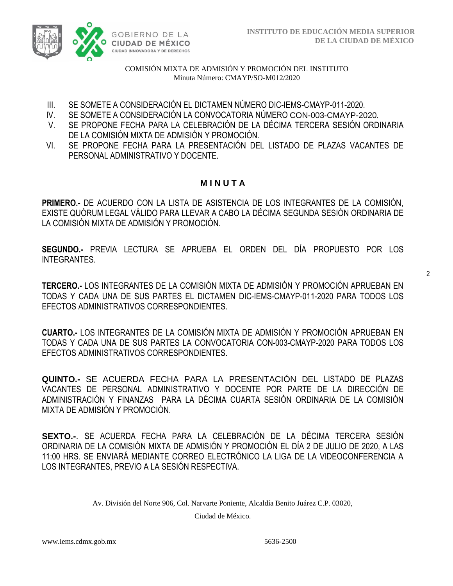

- III. SE SOMETE A CONSIDERACIÓN EL DICTAMEN NÚMERO DIC-IEMS-CMAYP-011-2020.
- IV. SE SOMETE A CONSIDERACIÓN LA CONVOCATORIA NÚMERO CON-003-CMAYP-2020.
- V. SE PROPONE FECHA PARA LA CELEBRACIÓN DE LA DÉCIMA TERCERA SESIÓN ORDINARIA DE LA COMISIÓN MIXTA DE ADMISIÓN Y PROMOCIÓN.
- VI. SE PROPONE FECHA PARA LA PRESENTACIÓN DEL LISTADO DE PLAZAS VACANTES DE PERSONAL ADMINISTRATIVO Y DOCENTE.

# **M I N U T A**

**PRIMERO.-** DE ACUERDO CON LA LISTA DE ASISTENCIA DE LOS INTEGRANTES DE LA COMISIÓN, EXISTE QUÓRUM LEGAL VÁLIDO PARA LLEVAR A CABO LA DÉCIMA SEGUNDA SESIÓN ORDINARIA DE LA COMISIÓN MIXTA DE ADMISIÓN Y PROMOCIÓN.

**SEGUNDO.-** PREVIA LECTURA SE APRUEBA EL ORDEN DEL DÍA PROPUESTO POR LOS INTEGRANTES.

2

**TERCERO.-** LOS INTEGRANTES DE LA COMISIÓN MIXTA DE ADMISIÓN Y PROMOCIÓN APRUEBAN EN TODAS Y CADA UNA DE SUS PARTES EL DICTAMEN DIC-IEMS-CMAYP-011-2020 PARA TODOS LOS EFECTOS ADMINISTRATIVOS CORRESPONDIENTES.

**CUARTO.-** LOS INTEGRANTES DE LA COMISIÓN MIXTA DE ADMISIÓN Y PROMOCIÓN APRUEBAN EN TODAS Y CADA UNA DE SUS PARTES LA CONVOCATORIA CON-003-CMAYP-2020 PARA TODOS LOS EFECTOS ADMINISTRATIVOS CORRESPONDIENTES.

**QUINTO.-** SE ACUERDA FECHA PARA LA PRESENTACIÓN DEL LISTADO DE PLAZAS VACANTES DE PERSONAL ADMINISTRATIVO Y DOCENTE POR PARTE DE LA DIRECCIÓN DE ADMINISTRACIÓN Y FINANZAS PARA LA DÉCIMA CUARTA SESIÓN ORDINARIA DE LA COMISIÓN MIXTA DE ADMISIÓN Y PROMOCIÓN.

**SEXTO.-**. SE ACUERDA FECHA PARA LA CELEBRACIÓN DE LA DÉCIMA TERCERA SESIÓN ORDINARIA DE LA COMISIÓN MIXTA DE ADMISIÓN Y PROMOCIÓN EL DÍA 2 DE JULIO DE 2020, A LAS 11:00 HRS. SE ENVIARÁ MEDIANTE CORREO ELECTRÓNICO LA LIGA DE LA VIDEOCONFERENCIA A LOS INTEGRANTES, PREVIO A LA SESIÓN RESPECTIVA.

Av. División del Norte 906, Col. Narvarte Poniente, Alcaldía Benito Juárez C.P. 03020,

Ciudad de México.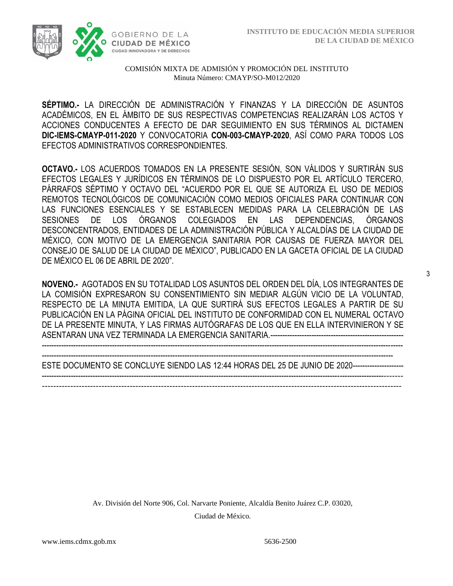

**SÉPTIMO.-** LA DIRECCIÓN DE ADMINISTRACIÓN Y FINANZAS Y LA DIRECCIÓN DE ASUNTOS ACADÉMICOS, EN EL ÁMBITO DE SUS RESPECTIVAS COMPETENCIAS REALIZARÁN LOS ACTOS Y ACCIONES CONDUCENTES A EFECTO DE DAR SEGUIMIENTO EN SUS TÉRMINOS AL DICTAMEN **DIC-IEMS-CMAYP-011-2020** Y CONVOCATORIA **CON-003-CMAYP-2020**, ASÍ COMO PARA TODOS LOS EFECTOS ADMINISTRATIVOS CORRESPONDIENTES.

**OCTAVO.-** LOS ACUERDOS TOMADOS EN LA PRESENTE SESIÓN, SON VÁLIDOS Y SURTIRÁN SUS EFECTOS LEGALES Y JURÍDICOS EN TÉRMINOS DE LO DISPUESTO POR EL ARTÍCULO TERCERO, PÁRRAFOS SÉPTIMO Y OCTAVO DEL "ACUERDO POR EL QUE SE AUTORIZA EL USO DE MEDIOS REMOTOS TECNOLÓGICOS DE COMUNICACIÓN COMO MEDIOS OFICIALES PARA CONTINUAR CON LAS FUNCIONES ESENCIALES Y SE ESTABLECEN MEDIDAS PARA LA CELEBRACIÓN DE LAS SESIONES DE LOS ÓRGANOS COLEGIADOS EN LAS DEPENDENCIAS, ÓRGANOS DESCONCENTRADOS, ENTIDADES DE LA ADMINISTRACIÓN PÚBLICA Y ALCALDÍAS DE LA CIUDAD DE MÉXICO, CON MOTIVO DE LA EMERGENCIA SANITARIA POR CAUSAS DE FUERZA MAYOR DEL CONSEJO DE SALUD DE LA CIUDAD DE MÉXICO", PUBLICADO EN LA GACETA OFICIAL DE LA CIUDAD DE MÉXICO EL 06 DE ABRIL DE 2020".

**NOVENO.-** AGOTADOS EN SU TOTALIDAD LOS ASUNTOS DEL ORDEN DEL DÍA, LOS INTEGRANTES DE LA COMISIÓN EXPRESARON SU CONSENTIMIENTO SIN MEDIAR ALGÚN VICIO DE LA VOLUNTAD, RESPECTO DE LA MINUTA EMITIDA, LA QUE SURTIRÁ SUS EFECTOS LEGALES A PARTIR DE SU PUBLICACIÓN EN LA PÁGINA OFICIAL DEL INSTITUTO DE CONFORMIDAD CON EL NUMERAL OCTAVO DE LA PRESENTE MINUTA, Y LAS FIRMAS AUTÓGRAFAS DE LOS QUE EN ELLA INTERVINIERON Y SE ASENTARAN UNA VEZ TERMINADA LA EMERGENCIA SANITARIA.-------------------------------------------------------

------------------------------------------------------------------------------------------------------------------------------------------------- ESTE DOCUMENTO SE CONCLUYE SIENDO LAS 12:44 HORAS DEL 25 DE JUNIO DE 2020--------------------------------------------------------------------------------------------------------------------------------------------------------

-------------------------------------------------------------------------------------------------------------------------------

-----------------------------------------------------------------------------------------------------------------------------------------------------

Av. División del Norte 906, Col. Narvarte Poniente, Alcaldía Benito Juárez C.P. 03020, Ciudad de México.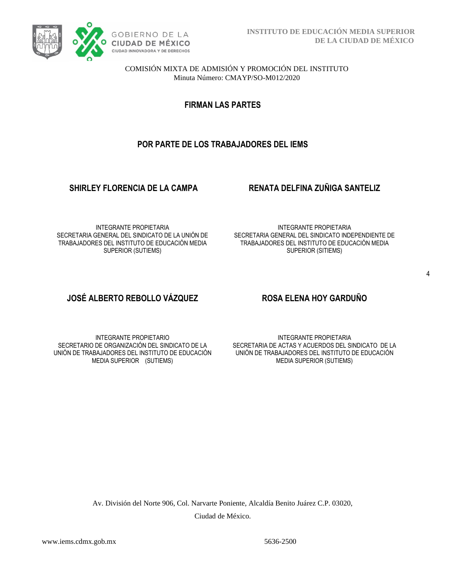

**FIRMAN LAS PARTES**

### **POR PARTE DE LOS TRABAJADORES DEL IEMS**

#### **SHIRLEY FLORENCIA DE LA CAMPA RENATA DELFINA ZUÑIGA SANTELIZ**

INTEGRANTE PROPIETARIA SECRETARIA GENERAL DEL SINDICATO DE LA UNIÓN DE TRABAJADORES DEL INSTITUTO DE EDUCACIÓN MEDIA SUPERIOR (SUTIEMS)

INTEGRANTE PROPIETARIA SECRETARIA GENERAL DEL SINDICATO INDEPENDIENTE DE TRABAJADORES DEL INSTITUTO DE EDUCACIÓN MEDIA SUPERIOR (SITIEMS)

# **JOSÉ ALBERTO REBOLLO VÁZQUEZ ROSA ELENA HOY GARDUÑO**

INTEGRANTE PROPIETARIO SECRETARIO DE ORGANIZACIÓN DEL SINDICATO DE LA UNIÓN DE TRABAJADORES DEL INSTITUTO DE EDUCACIÓN MEDIA SUPERIOR (SUTIEMS)

INTEGRANTE PROPIETARIA SECRETARIA DE ACTAS Y ACUERDOS DEL SINDICATO DE LA UNIÓN DE TRABAJADORES DEL INSTITUTO DE EDUCACIÓN MEDIA SUPERIOR (SUTIEMS)

Av. División del Norte 906, Col. Narvarte Poniente, Alcaldía Benito Juárez C.P. 03020, Ciudad de México.